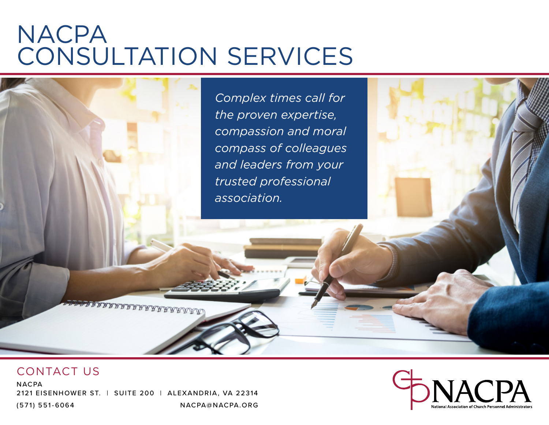# **NACPA** CONSULTATION SERVICES

*Complex times call for the proven expertise, compassion and moral compass of colleagues and leaders from your trusted professional association.*

#### CONTACT US

**NACPA** 2121 EISENHOWER ST. | SUITE 200 | ALEXANDRIA, VA 22314 (571) 551-6064 NACPA@NACPA.ORG

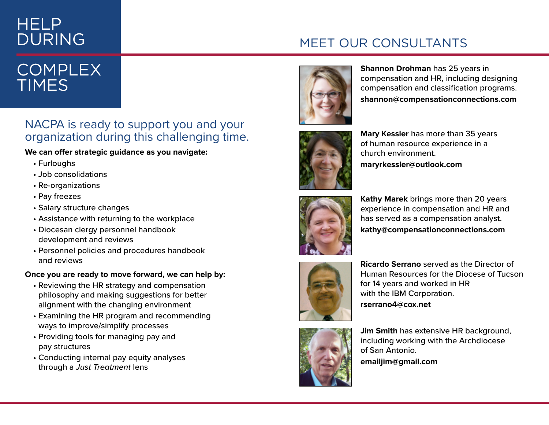# HELP DURING

### MEET OUR CONSULTANTS

# **COMPLEX TIMES**

#### NACPA is ready to support you and your organization during this challenging time.

#### **We can offer strategic guidance as you navigate:**

- Furloughs
- Job consolidations
- Re-organizations
- Pay freezes
- Salary structure changes
- Assistance with returning to the workplace
- Diocesan clergy personnel handbook development and reviews
- Personnel policies and procedures handbook and reviews

#### **Once you are ready to move forward, we can help by:**

- Reviewing the HR strategy and compensation philosophy and making suggestions for better alignment with the changing environment
- Examining the HR program and recommending ways to improve/simplify processes
- Providing tools for managing pay and pay structures
- Conducting internal pay equity analyses through a *Just Treatment* lens



**Shannon Drohman** has 25 years in compensation and HR, including designing compensation and classification programs. **shannon@compensationconnections.com** 



**Mary Kessler** has more than 35 years of human resource experience in a church environment. **maryrkessler@outlook.com**



**Kathy Marek** brings more than 20 years experience in compensation and HR and has served as a compensation analyst. **kathy@compensationconnections.com**



**Ricardo Serrano** served as the Director of Human Resources for the Diocese of Tucson for 14 years and worked in HR with the IBM Corporation. **rserrano4@cox.net** 



**Jim Smith** has extensive HR background, including working with the Archdiocese of San Antonio.

**emailjim@gmail.com**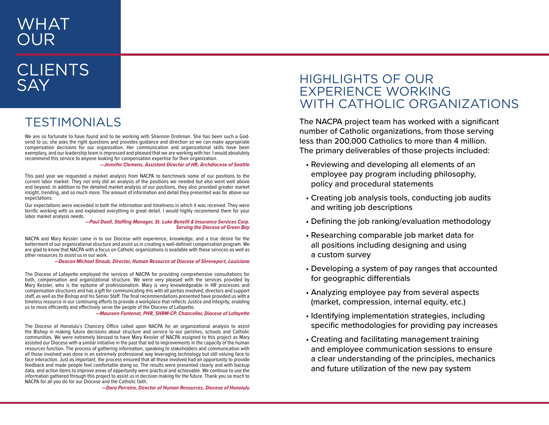### WHAT OUR

### **CLIENTS** SAY

### TESTIMONIALS

We are so fortunate to have found and to be working with Shannon Drohman. She has been such a Godsend to us; she asks the right questions and provides guidance and direction so we can make appropriate compensation decisions for our organization. Her communication and organizational skills have been exemplary, and our leadership team is impressed and pleased that we are working with her. I would absolutely recommend this service to anyone looking for compensation expertise for their organization.

 *—Jennifer Clemens, Assistant Director of HR, Archdiocese of Seattle*

This past year we requested a market analysis from NACPA to benchmark some of our positions to the current labor market. They not only did an analysis of the positions we needed but also went well above and beyond. In addition to the detailed market analysis of our positions, they also provided greater market insight, trending, and so much more. The amount of information and detail they presented was far above our expectations.

Our expectations were exceeded in both the information and timeliness in which it was received. They were terrific working with us and explained everything in great detail. I would highly recommend them for your labor market analysis needs.

*—Paul Doell, Staffing Manager, St. Luke Benefit & Insurance Services Corp. Serving the Diocese of Green Bay*

NACPA and Mary Kessler came in to our Diocese with experience, knowledge, and a true desire for the betterment of our organizational structure and assist us in creating a well-defined compensation program. We are glad to know that NACPA with a focus on Catholic organizations is available with these services as well as other resources to assist us in our work.

*—Deacon Michael Straub, Director, Human Resource at Diocese of Shreveport, Louisiana*

The Diocese of Lafayette employed the services of NACPA for providing comprehensive consultations for both, compensation and organizational structure. We were very pleased with the services provided by Mary Kessler, who is the epitome of professionalism. Mary is very knowledgeable in HR processes and compensation structures and has a gift for communicating this with all parties involved; directors and support staff, as well as the Bishop and his Senior Staff. The final recommendations presented have provided us with a timeless resource in our continuing efforts to provide a workplace that reflects Justice and Integrity, enabling us to more efficiently and effectively serve the people of the Diocese of Lafayette.

*—Maureen Fontenot, PHR, SHRM-CP, Chancellor, Diocese of Lafayette*

The Diocese of Honolulu's Chancery Office called upon NACPA for an organizational analysis to assist the Bishop in making future decisions about structure and service to our parishes, schools and Catholic communities. We were extremely blessed to have Mary Kessler of NACPA assigned to this project as Mary assisted our Diocese with a similar initiative in the past that led to improvements in the capacity of the human resources function. The process of gathering information, speaking to stakeholders and communication with all those involved was done in an extremely professional way leveraging technology but still valuing face to face interaction. Just as important, the process ensured that all those involved had an opportunity to provide feedback and made people feel comfortable doing so. The results were presented clearly and with backup data, and action items to improve areas of opportunity were practical and achievable. We continue to use the information gathered through this project to assist us in decision making for the future. Thank you so much to NACPA for all you do for our Diocese and the Catholic faith.

*—Dara Perreira, Director of Human Resources, Diocese of Honolulu*

#### HIGHLIGHTS OF OUR EXPERIENCE WORKING WITH CATHOLIC ORGANIZATIONS

The NACPA project team has worked with a significant number of Catholic organizations, from those serving less than 200,000 Catholics to more than 4 million. The primary deliverables of those projects included:

- Reviewing and developing all elements of an employee pay program including philosophy, policy and procedural statements
- Creating job analysis tools, conducting job audits and writing job descriptions
- Defining the job ranking/evaluation methodology
- Researching comparable job market data for all positions including designing and using a custom survey
- Developing a system of pay ranges that accounted for geographic differentials
- Analyzing employee pay from several aspects (market, compression, internal equity, etc.)
- Identifying implementation strategies, including specific methodologies for providing pay increases
- Creating and facilitating management training and employee communication sessions to ensure a clear understanding of the principles, mechanics and future utilization of the new pay system